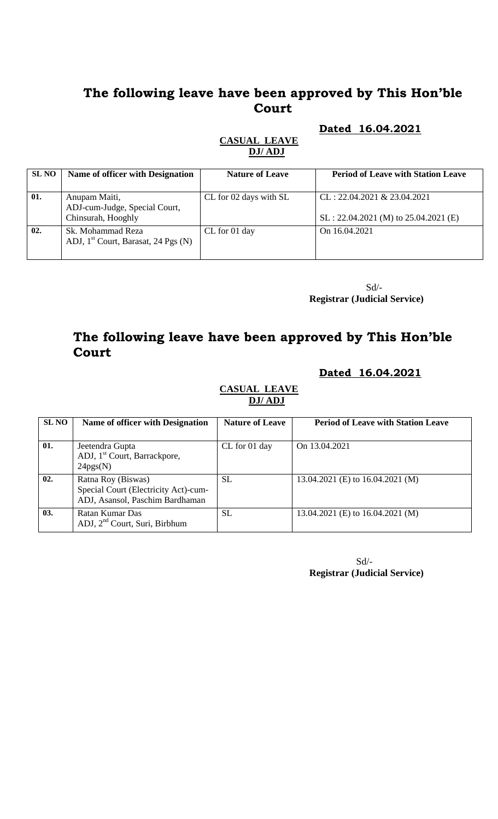**Dated 16.04.2021**

| <b>SLNO</b> | <b>Name of officer with Designation</b>                              | <b>Nature of Leave</b> | <b>Period of Leave with Station Leave</b>                                |
|-------------|----------------------------------------------------------------------|------------------------|--------------------------------------------------------------------------|
| 01.         | Anupam Maiti,<br>ADJ-cum-Judge, Special Court,<br>Chinsurah, Hooghly | CL for 02 days with SL | $CL: 22.04.2021 \& 23.04.2021$<br>$SL: 22.04.2021$ (M) to 25.04.2021 (E) |
| 02.         | Sk. Mohammad Reza<br>ADJ, $1st$ Court, Barasat, 24 Pgs (N)           | CL for 01 day          | On 16.04.2021                                                            |

#### **CASUAL LEAVE DJ/ ADJ**

Sd/- **Registrar (Judicial Service)**

# **The following leave have been approved by This Hon'ble Court**

#### **Dated 16.04.2021**

#### **CASUAL LEAVE DJ/ ADJ**

| <b>SL NO</b> | Name of officer with Designation                                                              | <b>Nature of Leave</b> | <b>Period of Leave with Station Leave</b> |
|--------------|-----------------------------------------------------------------------------------------------|------------------------|-------------------------------------------|
| 01.          | Jeetendra Gupta<br>ADJ, 1 <sup>st</sup> Court, Barrackpore,<br>24pgs(N)                       | CL for 01 day          | On 13.04.2021                             |
| 02.          | Ratna Roy (Biswas)<br>Special Court (Electricity Act)-cum-<br>ADJ, Asansol, Paschim Bardhaman | <b>SL</b>              | 13.04.2021 (E) to 16.04.2021 (M)          |
| 03.          | Ratan Kumar Das<br>ADJ, 2 <sup>nd</sup> Court, Suri, Birbhum                                  | <b>SL</b>              | 13.04.2021 (E) to 16.04.2021 (M)          |

 Sd/- **Registrar (Judicial Service)**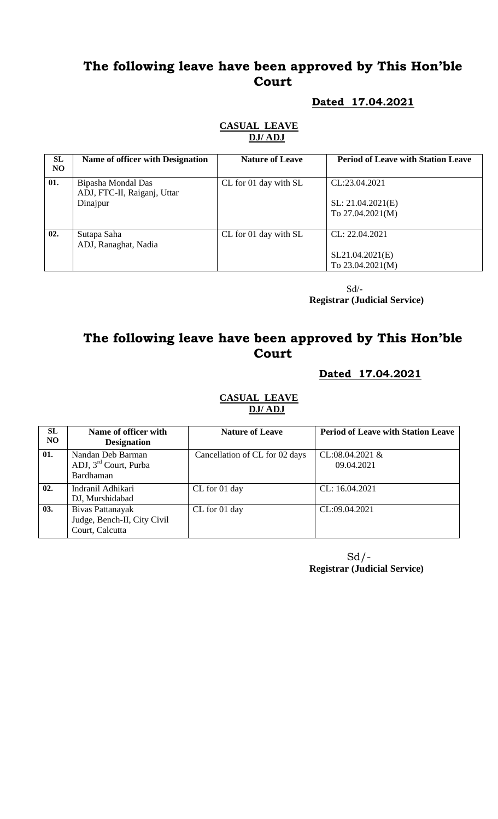#### **Dated 17.04.2021**

| SL<br>NO. | <b>Name of officer with Designation</b>                       | <b>Nature of Leave</b> | <b>Period of Leave with Station Leave</b>                |
|-----------|---------------------------------------------------------------|------------------------|----------------------------------------------------------|
| 01.       | Bipasha Mondal Das<br>ADJ, FTC-II, Raiganj, Uttar<br>Dinajpur | CL for 01 day with SL  | CL:23.04.2021<br>SL: 21.04.2021(E)<br>To $27.04.2021(M)$ |
| 02.       | Sutapa Saha<br>ADJ, Ranaghat, Nadia                           | CL for 01 day with SL  | CL: 22.04.2021<br>SL21.04.2021(E)<br>To $23.04.2021(M)$  |

**CASUAL LEAVE DJ/ ADJ** 

 Sd/- **Registrar (Judicial Service)**

# **The following leave have been approved by This Hon'ble Court**

#### **Dated 17.04.2021**

#### **CASUAL LEAVE DJ/ ADJ**

| <b>SL</b><br>NO. | Name of officer with              | <b>Nature of Leave</b>         | <b>Period of Leave with Station Leave</b> |
|------------------|-----------------------------------|--------------------------------|-------------------------------------------|
|                  | <b>Designation</b>                |                                |                                           |
| 01.              | Nandan Deb Barman                 | Cancellation of CL for 02 days | $CL:08.04.2021$ &                         |
|                  | ADJ, 3 <sup>rd</sup> Court, Purba |                                | 09.04.2021                                |
|                  | Bardhaman                         |                                |                                           |
| 02.              | Indranil Adhikari                 | CL for 01 day                  | CL: 16.04.2021                            |
|                  | DJ, Murshidabad                   |                                |                                           |
| 03.              | Bivas Pattanayak                  | CL for 01 day                  | CL:09.04.2021                             |
|                  | Judge, Bench-II, City Civil       |                                |                                           |
|                  | Court, Calcutta                   |                                |                                           |

 Sd/- **Registrar (Judicial Service)**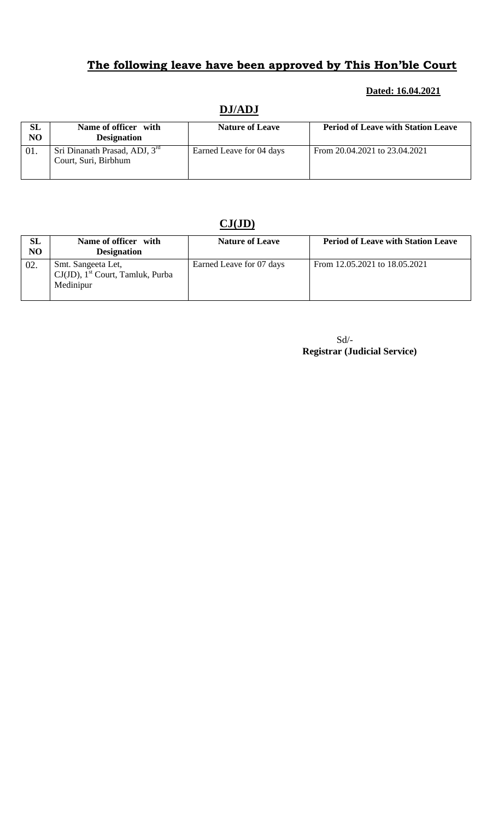#### **Dated: 16.04.2021**

| SL<br>N <sub>O</sub> | Name of officer with<br><b>Designation</b>            | <b>Nature of Leave</b>   | <b>Period of Leave with Station Leave</b> |  |  |
|----------------------|-------------------------------------------------------|--------------------------|-------------------------------------------|--|--|
| 01.                  | Sri Dinanath Prasad, ADJ, 3rd<br>Court, Suri, Birbhum | Earned Leave for 04 days | From 20.04.2021 to 23.04.2021             |  |  |

### **DJ/ADJ**

# **CJ(JD)**

| SL<br>N <sub>O</sub> | Name of officer with<br><b>Designation</b>                                         | <b>Nature of Leave</b>   | <b>Period of Leave with Station Leave</b> |
|----------------------|------------------------------------------------------------------------------------|--------------------------|-------------------------------------------|
| 02.                  | Smt. Sangeeta Let,<br>$CJ(JD)$ , 1 <sup>st</sup> Court, Tamluk, Purba<br>Medinipur | Earned Leave for 07 days | From 12.05.2021 to 18.05.2021             |

Sd/-  **Registrar (Judicial Service)**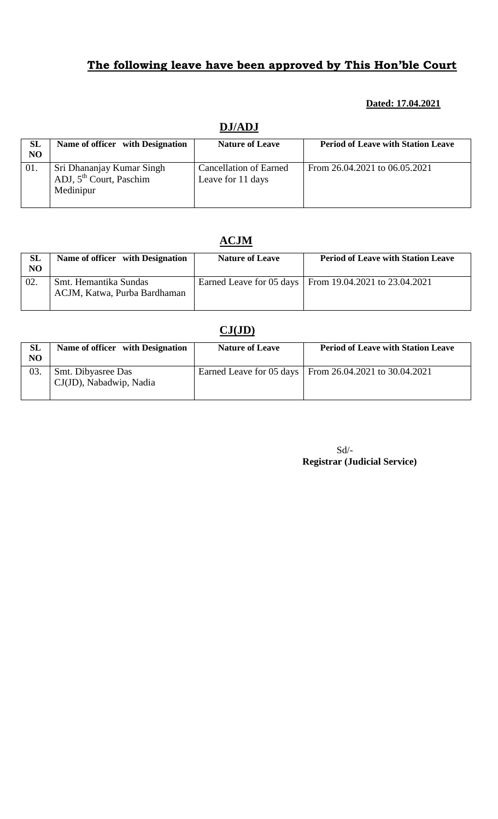#### **Dated: 17.04.2021**

#### **DJ/ADJ**

| SL<br>NO | Name of officer with Designation                                              | <b>Nature of Leave</b>                             | <b>Period of Leave with Station Leave</b> |
|----------|-------------------------------------------------------------------------------|----------------------------------------------------|-------------------------------------------|
| 01.      | Sri Dhananjay Kumar Singh<br>ADJ, 5 <sup>th</sup> Court, Paschim<br>Medinipur | <b>Cancellation of Earned</b><br>Leave for 11 days | From 26.04.2021 to 06.05.2021             |

#### **ACJM**

| SL<br>NO | Name of officer with Designation                      | <b>Nature of Leave</b> | <b>Period of Leave with Station Leave</b>                |
|----------|-------------------------------------------------------|------------------------|----------------------------------------------------------|
| 02.      | Smt. Hemantika Sundas<br>ACJM, Katwa, Purba Bardhaman |                        | Earned Leave for 05 days   From 19.04.2021 to 23.04.2021 |

## **CJ(JD)**

| <b>SL</b><br>N <sub>O</sub> | Name of officer with Designation              | <b>Nature of Leave</b> | <b>Period of Leave with Station Leave</b>                |
|-----------------------------|-----------------------------------------------|------------------------|----------------------------------------------------------|
| 03.                         | Smt. Dibyasree Das<br>CJ(JD), Nabadwip, Nadia |                        | Earned Leave for 05 days   From 26.04.2021 to 30.04.2021 |

| $Sd/-$                              |  |
|-------------------------------------|--|
| <b>Registrar (Judicial Service)</b> |  |